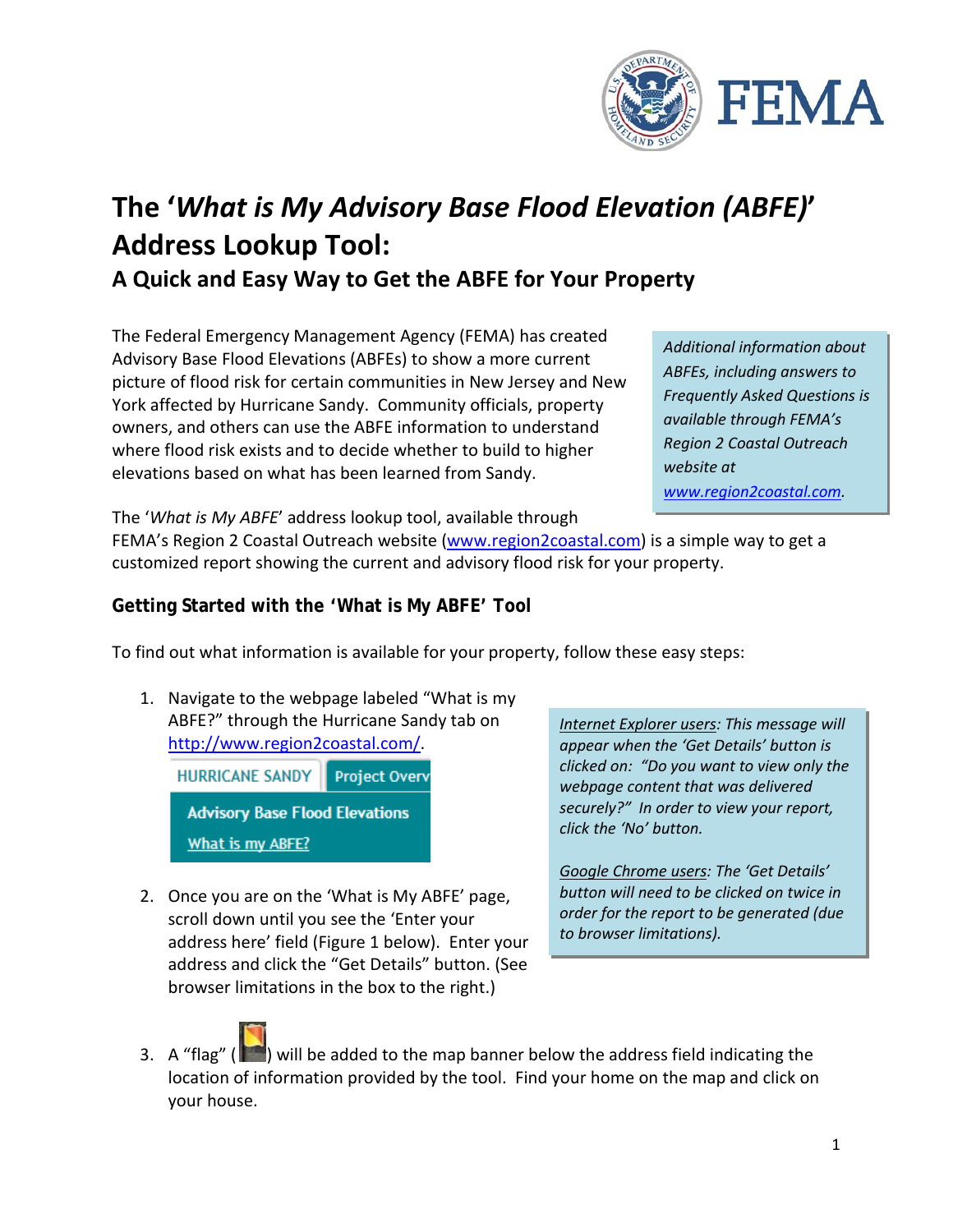

# **The '***What is My Advisory Base Flood Elevation (ABFE)***' Address Lookup Tool:**

**A Quick and Easy Way to Get the ABFE for Your Property**

The Federal Emergency Management Agency (FEMA) has created Advisory Base Flood Elevations (ABFEs) to show a more current picture of flood risk for certain communities in New Jersey and New York affected by Hurricane Sandy. Community officials, property owners, and others can use the ABFE information to understand where flood risk exists and to decide whether to build to higher elevations based on what has been learned from Sandy.

*Additional information about ABFEs, including answers to Frequently Asked Questions is available through FEMA's Region 2 Coastal Outreach website at [www.region2coastal.com.](http://www.region2coastal.com/)*

The '*What is My ABFE*' address lookup tool, available through

FEMA's Region 2 Coastal Outreach website [\(www.region2coastal.com\)](http://www.region2coastal.com/) is a simple way to get a customized report showing the current and advisory flood risk for your property.

## **Getting Started with the 'What is My ABFE' Tool**

To find out what information is available for your property, follow these easy steps:

1. Navigate to the webpage labeled "What is my ABFE?" through the Hurricane Sandy tab on [http://www.region2coastal.com/.](http://www.region2coastal.com/)

**HURRICANE SANDY Project Overv Advisory Base Flood Elevations** What is my ABFE?

2. Once you are on the 'What is My ABFE' page, scroll down until you see the 'Enter your address here' field (Figure 1 below). Enter your address and click the "Get Details" button. (See browser limitations in the box to the right.)

*Internet Explorer users: This message will appear when the 'Get Details' button is clicked on: "Do you want to view only the webpage content that was delivered securely?" In order to view your report, click the 'No' button.*

*Google Chrome users: The 'Get Details' button will need to be clicked on twice in order for the report to be generated (due to browser limitations).*

3. A "flag" ( $\Box$ ) will be added to the map banner below the address field indicating the location of information provided by the tool. Find your home on the map and click on your house.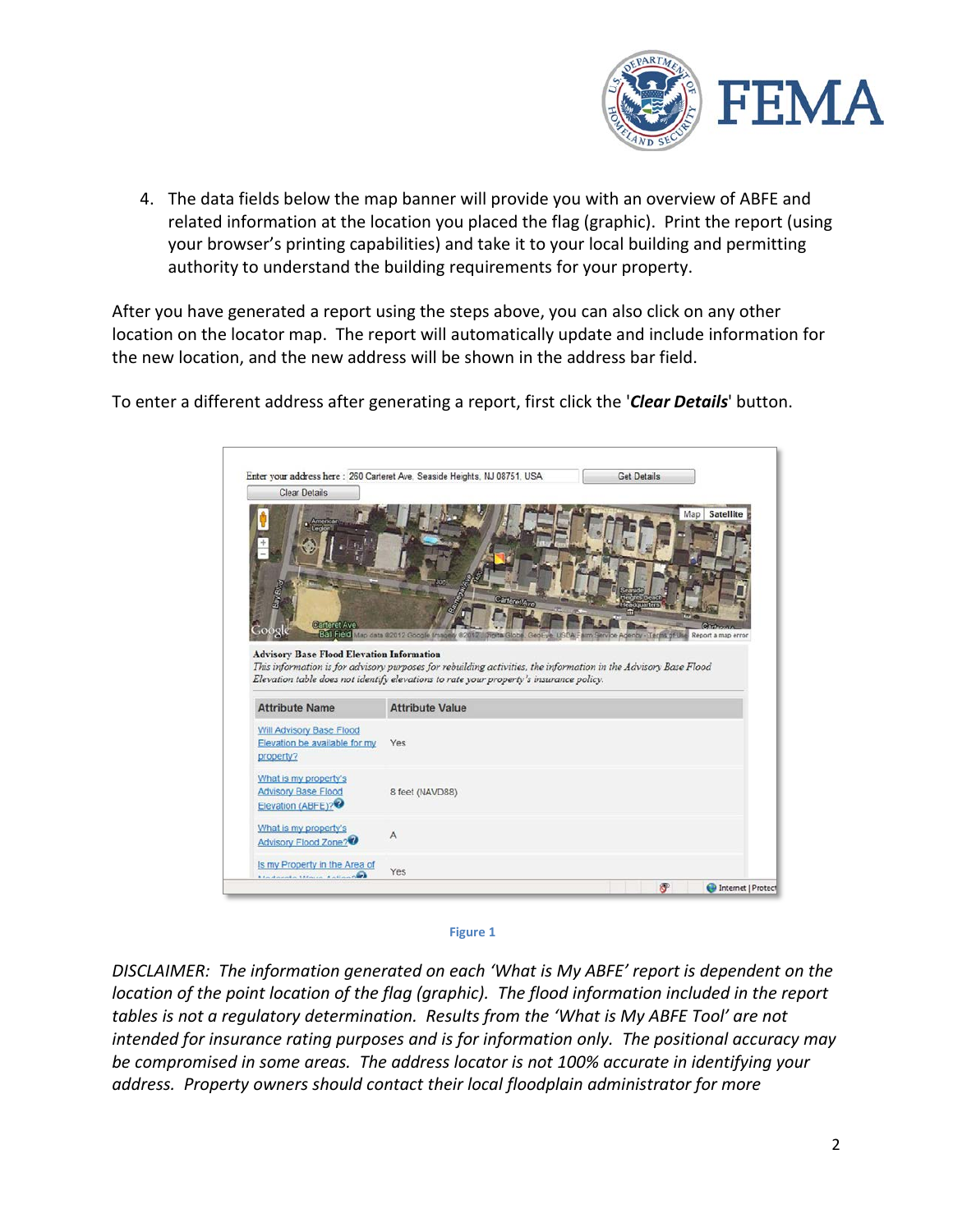

4. The data fields below the map banner will provide you with an overview of ABFE and related information at the location you placed the flag (graphic). Print the report (using your browser's printing capabilities) and take it to your local building and permitting authority to understand the building requirements for your property.

After you have generated a report using the steps above, you can also click on any other location on the locator map. The report will automatically update and include information for the new location, and the new address will be shown in the address bar field.



To enter a different address after generating a report, first click the '*Clear Details*' button.



*DISCLAIMER: The information generated on each 'What is My ABFE' report is dependent on the location of the point location of the flag (graphic). The flood information included in the report tables is not a regulatory determination. Results from the 'What is My ABFE Tool' are not intended for insurance rating purposes and is for information only. The positional accuracy may be compromised in some areas. The address locator is not 100% accurate in identifying your address. Property owners should contact their local floodplain administrator for more*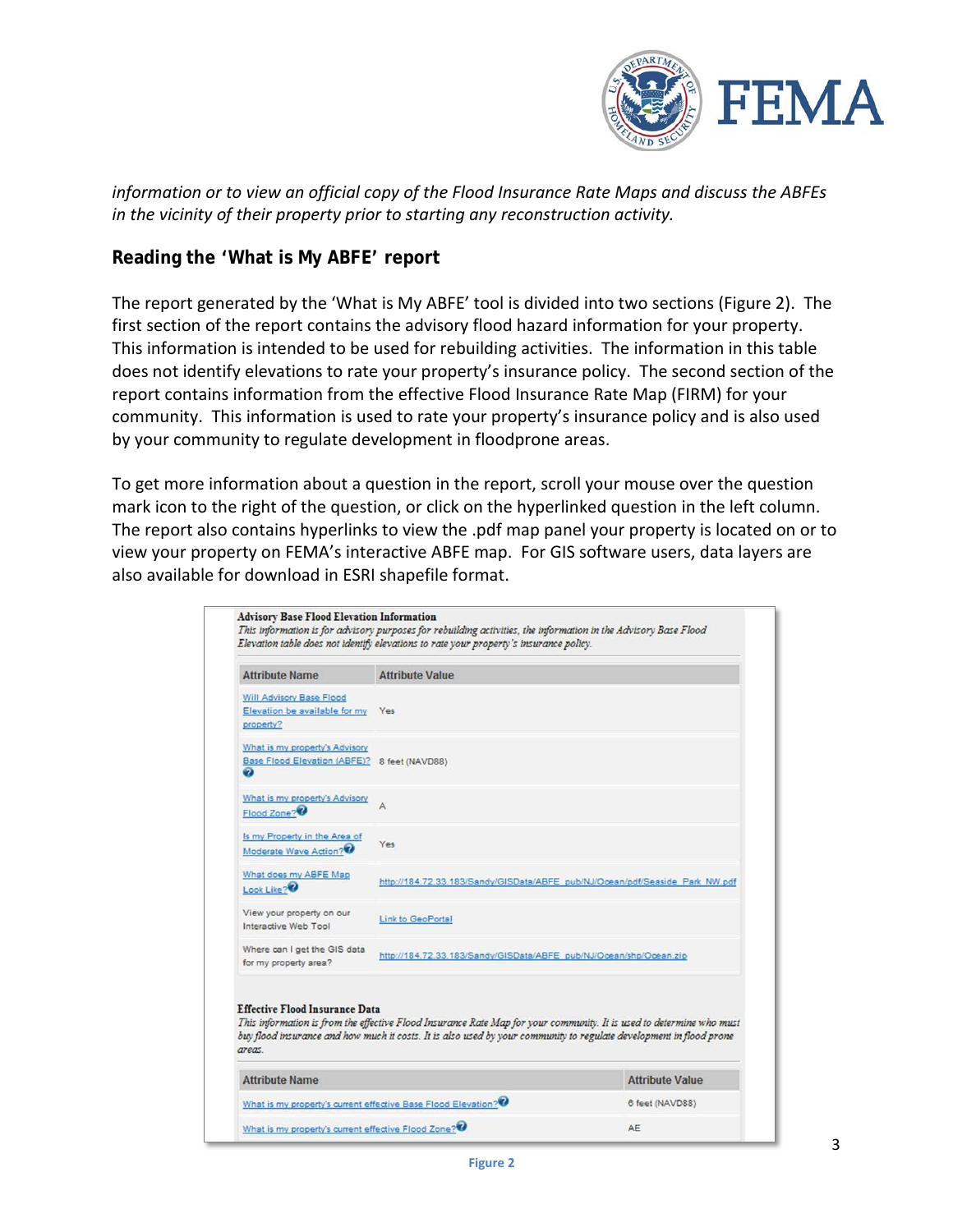

*information or to view an official copy of the Flood Insurance Rate Maps and discuss the ABFEs in the vicinity of their property prior to starting any reconstruction activity.*

#### **Reading the 'What is My ABFE' report**

The report generated by the 'What is My ABFE' tool is divided into two sections (Figure 2). The first section of the report contains the advisory flood hazard information for your property. This information is intended to be used for rebuilding activities. The information in this table does not identify elevations to rate your property's insurance policy. The second section of the report contains information from the effective Flood Insurance Rate Map (FIRM) for your community. This information is used to rate your property's insurance policy and is also used by your community to regulate development in floodprone areas.

To get more information about a question in the report, scroll your mouse over the question mark icon to the right of the question, or click on the hyperlinked question in the left column. The report also contains hyperlinks to view the .pdf map panel your property is located on or to view your property on FEMA's interactive ABFE map. For GIS software users, data layers are also available for download in ESRI shapefile format.

| <b>Attribute Name</b>                                                               | <b>Attribute Value</b>                                                                                                                                                                                                                      |                        |
|-------------------------------------------------------------------------------------|---------------------------------------------------------------------------------------------------------------------------------------------------------------------------------------------------------------------------------------------|------------------------|
| Will Advisory Base Flood<br>Elevation be available for my<br>property?              | Yes                                                                                                                                                                                                                                         |                        |
| What is my property's Advisory<br>Base Flood Elevation (ABFE)? 8 feet (NAVD88)<br>Ω |                                                                                                                                                                                                                                             |                        |
| What is my property's Advisory<br>Flood Zone?                                       | $\triangle$                                                                                                                                                                                                                                 |                        |
| Is my Property in the Area of<br>Moderate Wave Action?                              | Yes                                                                                                                                                                                                                                         |                        |
| What does my ABFE Map<br>Look Like?                                                 | http://184.72.33.183/Sandy/GISData/ABFE_pub/NJ/Ocean/pdf/Seaside_Park_NW.pdf                                                                                                                                                                |                        |
| View your property on our<br>Interactive Web Tool                                   | Link to GeoPortal                                                                                                                                                                                                                           |                        |
| Where can I get the GIS data<br>for my property area?                               | http://184.72.33.183/Sandy/GISData/ABFE_pub/NJ/Ocean/shp/Ocean.zip                                                                                                                                                                          |                        |
| <b>Effective Flood Insurance Data</b>                                               | This information is from the effective Flood Insurance Rate Map for your community. It is used to determine who must<br>buy flood insurance and how much it costs. It is also used by your community to regulate development in flood prone |                        |
| areas.<br><b>Attribute Name</b>                                                     |                                                                                                                                                                                                                                             | <b>Attribute Value</b> |